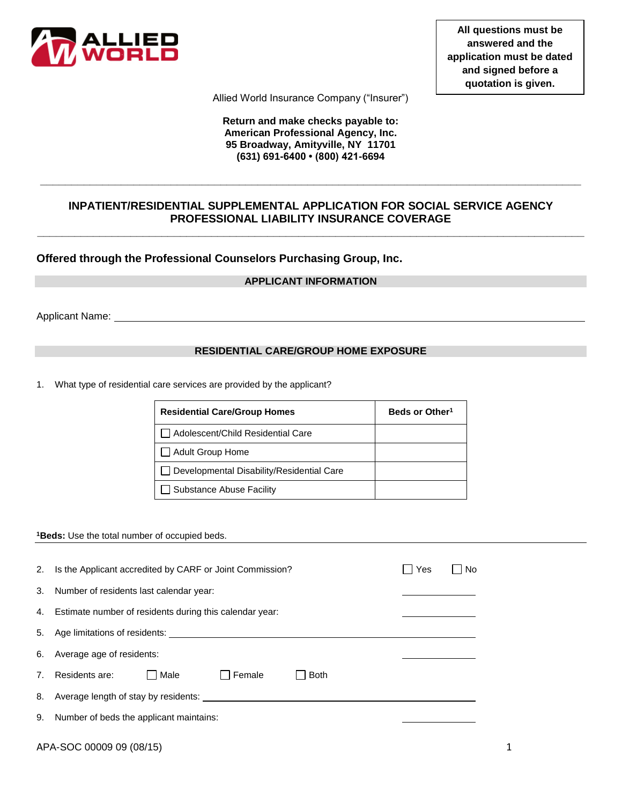

**All questions must be answered and the application must be dated and signed before a quotation is given.**

Allied World Insurance Company ("Insurer")

**Return and make checks payable to: American Professional Agency, Inc. 95 Broadway, Amityville, NY 11701 (631) 691-6400 • (800) 421-6694**

# **INPATIENT/RESIDENTIAL SUPPLEMENTAL APPLICATION FOR SOCIAL SERVICE AGENCY PROFESSIONAL LIABILITY INSURANCE COVERAGE**

**\_\_\_\_\_\_\_\_\_\_\_\_\_\_\_\_\_\_\_\_\_\_\_\_\_\_\_\_\_\_\_\_\_\_\_\_\_\_\_\_\_\_\_\_\_\_\_\_\_\_\_\_\_\_\_\_\_\_\_\_\_\_\_\_\_\_\_\_\_\_\_\_\_\_\_\_\_\_\_\_\_\_\_\_\_\_\_\_**

**\_\_\_\_\_\_\_\_\_\_\_\_\_\_\_\_\_\_\_\_\_\_\_\_\_\_\_\_\_\_\_\_\_\_\_\_\_\_\_\_\_\_\_\_\_\_\_\_\_\_\_\_\_\_\_\_\_\_\_\_\_\_\_\_\_\_\_\_\_\_\_\_\_\_\_\_\_\_\_\_\_\_\_\_\_\_\_**

**Offered through the Professional Counselors Purchasing Group, Inc.**

# **APPLICANT INFORMATION**

Applicant Name:

### **RESIDENTIAL CARE/GROUP HOME EXPOSURE**

1. What type of residential care services are provided by the applicant?

| <b>Residential Care/Group Homes</b>       | Beds or Other <sup>1</sup> |
|-------------------------------------------|----------------------------|
| Adolescent/Child Residential Care         |                            |
| Adult Group Home                          |                            |
| Developmental Disability/Residential Care |                            |
| Substance Abuse Facility                  |                            |

#### **<sup>1</sup>Beds:** Use the total number of occupied beds.

| 2. | Is the Applicant accredited by CARF or Joint Commission?                                                                                                                                                                      | Yes<br>– I No |  |
|----|-------------------------------------------------------------------------------------------------------------------------------------------------------------------------------------------------------------------------------|---------------|--|
| 3. | Number of residents last calendar year:                                                                                                                                                                                       |               |  |
|    | 4. Estimate number of residents during this calendar year:                                                                                                                                                                    |               |  |
|    |                                                                                                                                                                                                                               |               |  |
|    | 6. Average age of residents:                                                                                                                                                                                                  |               |  |
| 7. | Residents are:<br><b>□</b> Male<br>  Female<br>l Both                                                                                                                                                                         |               |  |
|    | 8. Average length of stay by residents: Next and the state of the state of the state of the state of the state of the state of the state of the state of the state of the state of the state of the state of the state of the |               |  |
|    | 9. Number of beds the applicant maintains:                                                                                                                                                                                    |               |  |
|    | APA-SOC 00009 09 (08/15)                                                                                                                                                                                                      |               |  |